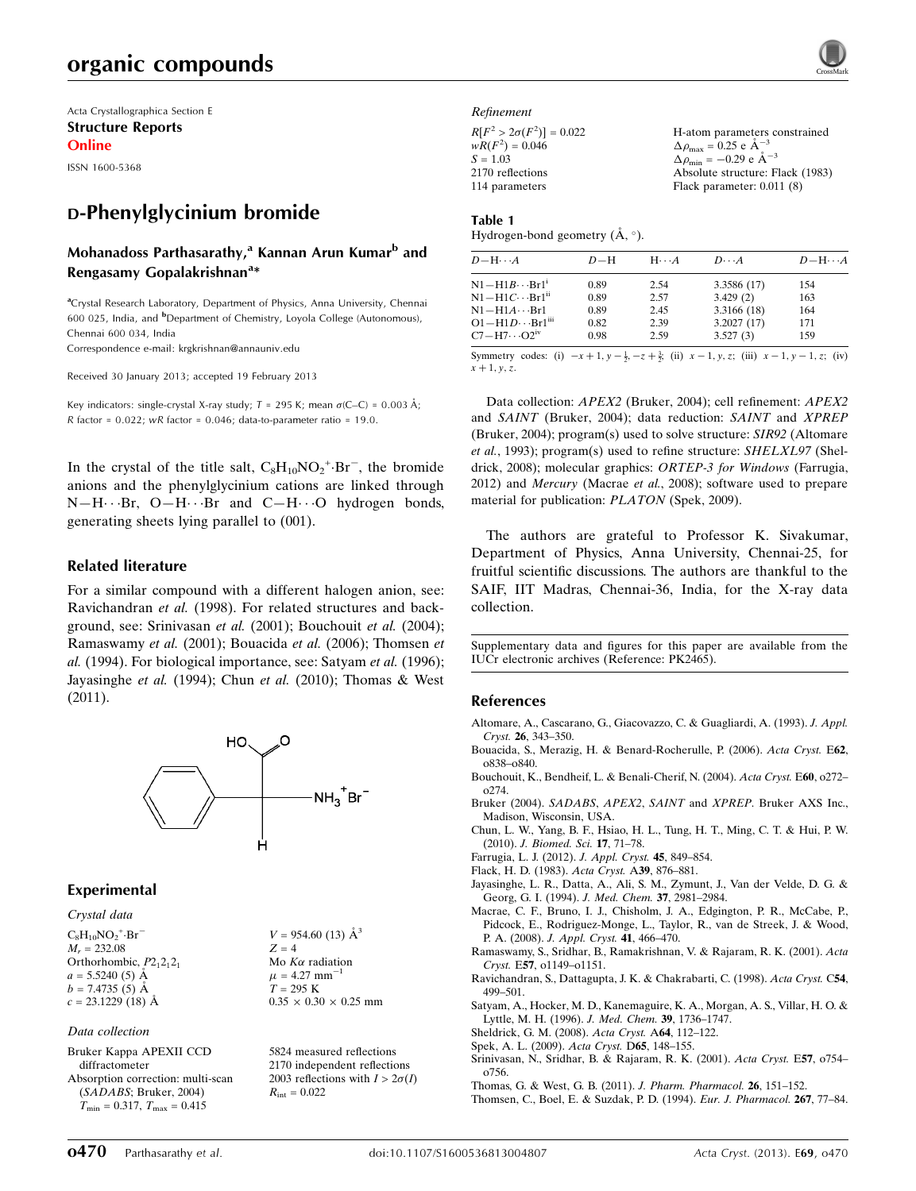Acta Crystallographica Section E Structure Reports Online

ISSN 1600-5368

# D-Phenylglycinium bromide

# Mohanadoss Parthasarathy,<sup>a</sup> Kannan Arun Kumar<sup>b</sup> and Rengasamy Gopalakrishnan<sup>a</sup>\*

<sup>a</sup>Crystal Research Laboratory, Department of Physics, Anna University, Chennai 600 025, India, and <sup>b</sup>Department of Chemistry, Loyola College (Autonomous), Chennai 600 034, India Correspondence e-mail: [krgkrishnan@annauniv.edu](https://scripts.iucr.org/cgi-bin/cr.cgi?rm=pdfbb&cnor=pk2465&bbid=BB17)

Received 30 January 2013; accepted 19 February 2013

Key indicators: single-crystal X-ray study;  $T = 295$  K; mean  $\sigma$ (C–C) = 0.003 Å; R factor =  $0.022$ ; wR factor =  $0.046$ ; data-to-parameter ratio = 19.0.

In the crystal of the title salt,  $C_8H_{10}NO_2^{\text{+}}\text{-}Br^-$ , the bromide anions and the phenylglycinium cations are linked through  $N-H\cdots Br$ ,  $O-H\cdots Br$  and  $C-H\cdots O$  hydrogen bonds, generating sheets lying parallel to (001).

#### Related literature

For a similar compound with a different halogen anion, see: Ravichandran et al. (1998). For related structures and background, see: Srinivasan et al. (2001); Bouchouit et al. (2004); Ramaswamy et al. (2001); Bouacida et al. (2006); Thomsen et al. (1994). For biological importance, see: Satyam et al. (1996); Jayasinghe et al. (1994); Chun et al. (2010); Thomas & West (2011).



#### Experimental

#### Crystal data

 $C_8H_{10}NO_2$ <sup>+</sup>·Br<sup>-</sup>  $M_r = 232.08$ Orthorhombic,  $P2_12_12_1$  $a = 5.5240(5)$  Å  $b = 7.4735(5)$  Å  $c = 23.1229(18)$  Å

Data collection

Bruker Kappa APEXII CCD diffractometer Absorption correction: multi-scan (SADABS; Bruker, 2004)  $T_{\text{min}} = 0.317, T_{\text{max}} = 0.415$ 

 $V = 954.60$  (13)  $\AA^3$  $Z = 4$ Mo  $K\alpha$  radiation  $\mu = 4.27$  mm<sup>-1</sup>  $T = 295 K$  $0.35 \times 0.30 \times 0.25$  mm

5824 measured reflections 2170 independent reflections 2003 reflections with  $I > 2\sigma(I)$  $R_{\text{int}} = 0.022$ 

Refinement

| $R[F^2 > 2\sigma(F^2)] = 0.022$<br>H-atom parameters constrained<br>$wR(F^2) = 0.046$<br>$\Delta \rho_{\text{max}} = 0.25 \text{ e A}^{-3}$ |  |
|---------------------------------------------------------------------------------------------------------------------------------------------|--|
| $\Delta \rho_{\text{min}} = -0.29$ e $\rm{\AA}^{-3}$<br>$S = 1.03$                                                                          |  |
| Absolute structure: Flack (1983)<br>2170 reflections                                                                                        |  |
| Flack parameter: $0.011(8)$<br>114 parameters                                                                                               |  |

#### Table 1

Hydrogen-bond geometry  $(\mathring{A}, \degree)$ .

| $D - H \cdots A$                     | $D-H$ | $H \cdot \cdot \cdot A$ | $D\cdots A$ | $D - H \cdots A$ |
|--------------------------------------|-------|-------------------------|-------------|------------------|
| $N1 - H1B \cdots Br1^1$              | 0.89  | 2.54                    | 3.3586 (17) | 154              |
| $N1 - H1C \cdots Br1$ <sup>ii</sup>  | 0.89  | 2.57                    | 3.429(2)    | 163              |
| $N1 - H1A \cdots Br1$                | 0.89  | 2.45                    | 3.3166 (18) | 164              |
| $O1 - H1D \cdots Br1$ <sup>iii</sup> | 0.82  | 2.39                    | 3.2027(17)  | 171              |
| $C7 - H7 \cdots O2$ <sup>iv</sup>    | 0.98  | 2.59                    | 3.527(3)    | 159              |

Symmetry codes: (i)  $-x+1$ ,  $y-\frac{1}{2}$ ,  $-z+\frac{3}{2}$ ; (ii)  $x-1$ ,  $y$ , z; (iii)  $x-1$ ,  $y-1$ , z; (iv)  $x + 1, y, z$ .

Data collection: APEX2 (Bruker, 2004); cell refinement: APEX2 and SAINT (Bruker, 2004); data reduction: SAINT and XPREP (Bruker, 2004); program(s) used to solve structure: SIR92 (Altomare et al., 1993); program(s) used to refine structure: SHELXL97 (Sheldrick, 2008); molecular graphics: ORTEP-3 for Windows (Farrugia, 2012) and Mercury (Macrae et al., 2008); software used to prepare material for publication: PLATON (Spek, 2009).

The authors are grateful to Professor K. Sivakumar, Department of Physics, Anna University, Chennai-25, for fruitful scientific discussions. The authors are thankful to the SAIF, IIT Madras, Chennai-36, India, for the X-ray data collection.

Supplementary data and figures for this paper are available from the IUCr electronic archives (Reference: PK2465).

#### References

- [Altomare, A., Cascarano, G., Giacovazzo, C. & Guagliardi, A. \(1993\).](https://scripts.iucr.org/cgi-bin/cr.cgi?rm=pdfbb&cnor=pk2465&bbid=BB1) J. Appl. Cryst. 26[, 343–350.](https://scripts.iucr.org/cgi-bin/cr.cgi?rm=pdfbb&cnor=pk2465&bbid=BB1)
- [Bouacida, S., Merazig, H. & Benard-Rocherulle, P. \(2006\).](https://scripts.iucr.org/cgi-bin/cr.cgi?rm=pdfbb&cnor=pk2465&bbid=BB2) Acta Cryst. E62, [o838–o840.](https://scripts.iucr.org/cgi-bin/cr.cgi?rm=pdfbb&cnor=pk2465&bbid=BB2)
- [Bouchouit, K., Bendheif, L. & Benali-Cherif, N. \(2004\).](https://scripts.iucr.org/cgi-bin/cr.cgi?rm=pdfbb&cnor=pk2465&bbid=BB3) Acta Cryst. E60, o272– [o274.](https://scripts.iucr.org/cgi-bin/cr.cgi?rm=pdfbb&cnor=pk2465&bbid=BB3)
- Bruker (2004). SADABS, APEX2, SAINT and XPREP[. Bruker AXS Inc.,](https://scripts.iucr.org/cgi-bin/cr.cgi?rm=pdfbb&cnor=pk2465&bbid=BB4) [Madison, Wisconsin, USA.](https://scripts.iucr.org/cgi-bin/cr.cgi?rm=pdfbb&cnor=pk2465&bbid=BB4)
- [Chun, L. W., Yang, B. F., Hsiao, H. L., Tung, H. T., Ming, C. T. & Hui, P. W.](https://scripts.iucr.org/cgi-bin/cr.cgi?rm=pdfbb&cnor=pk2465&bbid=BB5) (2010). [J. Biomed. Sci.](https://scripts.iucr.org/cgi-bin/cr.cgi?rm=pdfbb&cnor=pk2465&bbid=BB5) 17, 71–78.
- [Farrugia, L. J. \(2012\).](https://scripts.iucr.org/cgi-bin/cr.cgi?rm=pdfbb&cnor=pk2465&bbid=BB6) J. Appl. Cryst. 45, 849–854.
- [Flack, H. D. \(1983\).](https://scripts.iucr.org/cgi-bin/cr.cgi?rm=pdfbb&cnor=pk2465&bbid=BB7) Acta Cryst. A39, 876–881.
- [Jayasinghe, L. R., Datta, A., Ali, S. M., Zymunt, J., Van der Velde, D. G. &](https://scripts.iucr.org/cgi-bin/cr.cgi?rm=pdfbb&cnor=pk2465&bbid=BB8) [Georg, G. I. \(1994\).](https://scripts.iucr.org/cgi-bin/cr.cgi?rm=pdfbb&cnor=pk2465&bbid=BB8) J. Med. Chem. 37, 2981–2984.
- [Macrae, C. F., Bruno, I. J., Chisholm, J. A., Edgington, P. R., McCabe, P.,](https://scripts.iucr.org/cgi-bin/cr.cgi?rm=pdfbb&cnor=pk2465&bbid=BB9) [Pidcock, E., Rodriguez-Monge, L., Taylor, R., van de Streek, J. & Wood,](https://scripts.iucr.org/cgi-bin/cr.cgi?rm=pdfbb&cnor=pk2465&bbid=BB9) P. A. (2008). [J. Appl. Cryst.](https://scripts.iucr.org/cgi-bin/cr.cgi?rm=pdfbb&cnor=pk2465&bbid=BB9) 41, 466–470.
- [Ramaswamy, S., Sridhar, B., Ramakrishnan, V. & Rajaram, R. K. \(2001\).](https://scripts.iucr.org/cgi-bin/cr.cgi?rm=pdfbb&cnor=pk2465&bbid=BB10) Acta Cryst. E57[, o1149–o1151.](https://scripts.iucr.org/cgi-bin/cr.cgi?rm=pdfbb&cnor=pk2465&bbid=BB10)
- [Ravichandran, S., Dattagupta, J. K. & Chakrabarti, C. \(1998\).](https://scripts.iucr.org/cgi-bin/cr.cgi?rm=pdfbb&cnor=pk2465&bbid=BB11) Acta Cryst. C54, [499–501.](https://scripts.iucr.org/cgi-bin/cr.cgi?rm=pdfbb&cnor=pk2465&bbid=BB11)
- [Satyam, A., Hocker, M. D., Kanemaguire, K. A., Morgan, A. S., Villar, H. O. &](https://scripts.iucr.org/cgi-bin/cr.cgi?rm=pdfbb&cnor=pk2465&bbid=BB12) [Lyttle, M. H. \(1996\).](https://scripts.iucr.org/cgi-bin/cr.cgi?rm=pdfbb&cnor=pk2465&bbid=BB12) J. Med. Chem. 39, 1736–1747.
- [Sheldrick, G. M. \(2008\).](https://scripts.iucr.org/cgi-bin/cr.cgi?rm=pdfbb&cnor=pk2465&bbid=BB13) Acta Cryst. A64, 112–122.
- [Spek, A. L. \(2009\).](https://scripts.iucr.org/cgi-bin/cr.cgi?rm=pdfbb&cnor=pk2465&bbid=BB14) Acta Cryst. D65, 148–155.
- [Srinivasan, N., Sridhar, B. & Rajaram, R. K. \(2001\).](https://scripts.iucr.org/cgi-bin/cr.cgi?rm=pdfbb&cnor=pk2465&bbid=BB15) Acta Cryst. E57, o754– [o756.](https://scripts.iucr.org/cgi-bin/cr.cgi?rm=pdfbb&cnor=pk2465&bbid=BB15)
- [Thomas, G. & West, G. B. \(2011\).](https://scripts.iucr.org/cgi-bin/cr.cgi?rm=pdfbb&cnor=pk2465&bbid=BB16) J. Pharm. Pharmacol. 26, 151–152.
- [Thomsen, C., Boel, E. & Suzdak, P. D. \(1994\).](https://scripts.iucr.org/cgi-bin/cr.cgi?rm=pdfbb&cnor=pk2465&bbid=BB17) Eur. J. Pharmacol. 267, 77–84.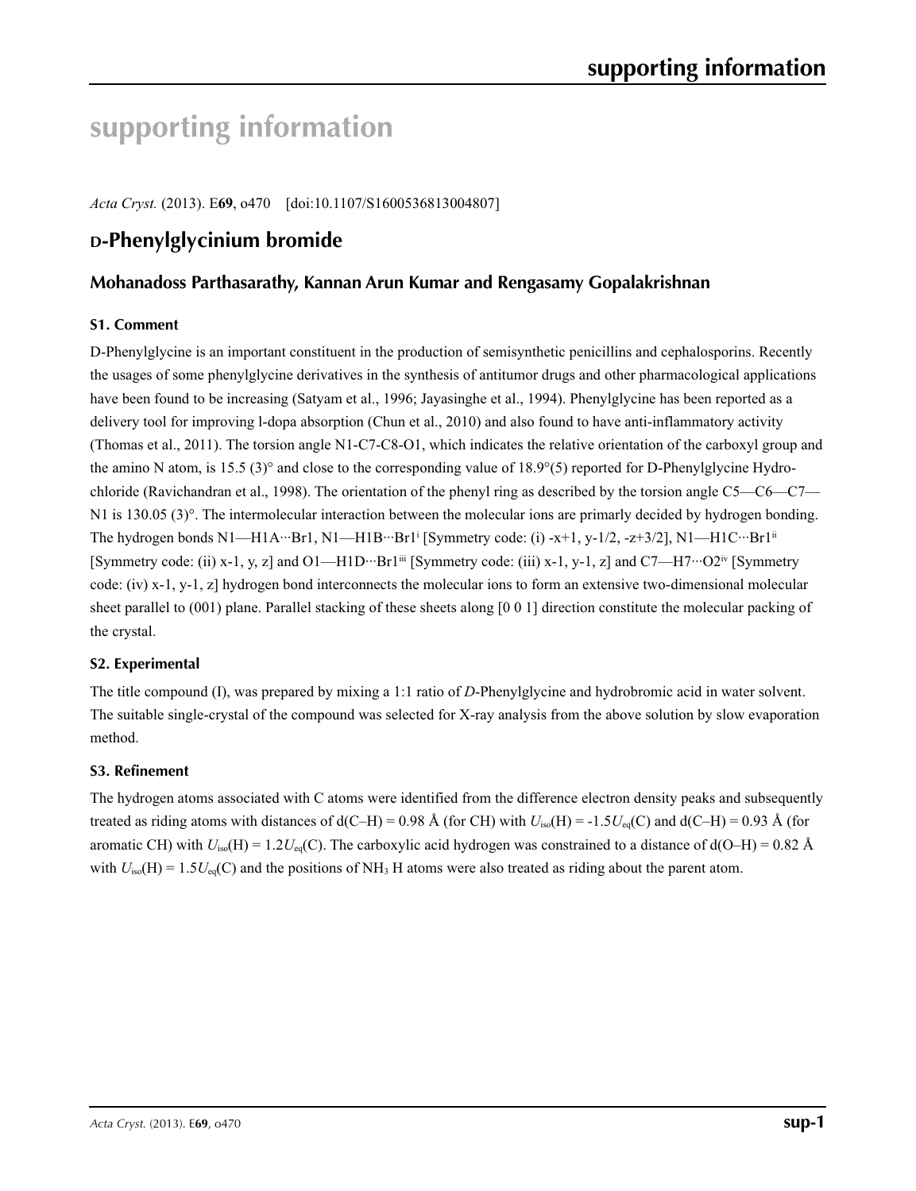# **supporting information**

*Acta Cryst.* (2013). E**69**, o470 [doi:10.1107/S1600536813004807]

# **D-Phenylglycinium bromide**

# **Mohanadoss Parthasarathy, Kannan Arun Kumar and Rengasamy Gopalakrishnan**

# **S1. Comment**

D-Phenylglycine is an important constituent in the production of semisynthetic penicillins and cephalosporins. Recently the usages of some phenylglycine derivatives in the synthesis of antitumor drugs and other pharmacological applications have been found to be increasing (Satyam et al., 1996; Jayasinghe et al., 1994). Phenylglycine has been reported as a delivery tool for improving l-dopa absorption (Chun et al., 2010) and also found to have anti-inflammatory activity (Thomas et al., 2011). The torsion angle N1-C7-C8-O1, which indicates the relative orientation of the carboxyl group and the amino N atom, is 15.5 (3)° and close to the corresponding value of 18.9°(5) reported for D-Phenylglycine Hydrochloride (Ravichandran et al., 1998). The orientation of the phenyl ring as described by the torsion angle C5—C6—C7— N1 is 130.05 (3)°. The intermolecular interaction between the molecular ions are primarly decided by hydrogen bonding. The hydrogen bonds N1—H1A···Br1, N1—H1B···Br1i [Symmetry code: (i) -x+1, y-1/2, -z+3/2], N1—H1C···Br1ii [Symmetry code: (ii) x-1, y, z] and O1—H1D···Br1<sup>iii</sup> [Symmetry code: (iii) x-1, y-1, z] and C7—H7···O2<sup>iv</sup> [Symmetry code: (iv) x-1, y-1, z] hydrogen bond interconnects the molecular ions to form an extensive two-dimensional molecular sheet parallel to (001) plane. Parallel stacking of these sheets along [0 0 1] direction constitute the molecular packing of the crystal.

# **S2. Experimental**

The title compound (I), was prepared by mixing a 1:1 ratio of *D*-Phenylglycine and hydrobromic acid in water solvent. The suitable single-crystal of the compound was selected for X-ray analysis from the above solution by slow evaporation method.

## **S3. Refinement**

The hydrogen atoms associated with C atoms were identified from the difference electron density peaks and subsequently treated as riding atoms with distances of  $d(C-H) = 0.98 \text{ Å}$  (for CH) with  $U_{iso}(H) = -1.5U_{eq}(C)$  and  $d(C-H) = 0.93 \text{ Å}$  (for aromatic CH) with  $U_{iso}(H) = 1.2U_{eq}(C)$ . The carboxylic acid hydrogen was constrained to a distance of  $d(O-H) = 0.82$  Å with  $U_{\text{iso}}(H) = 1.5U_{\text{eq}}(C)$  and the positions of NH<sub>3</sub> H atoms were also treated as riding about the parent atom.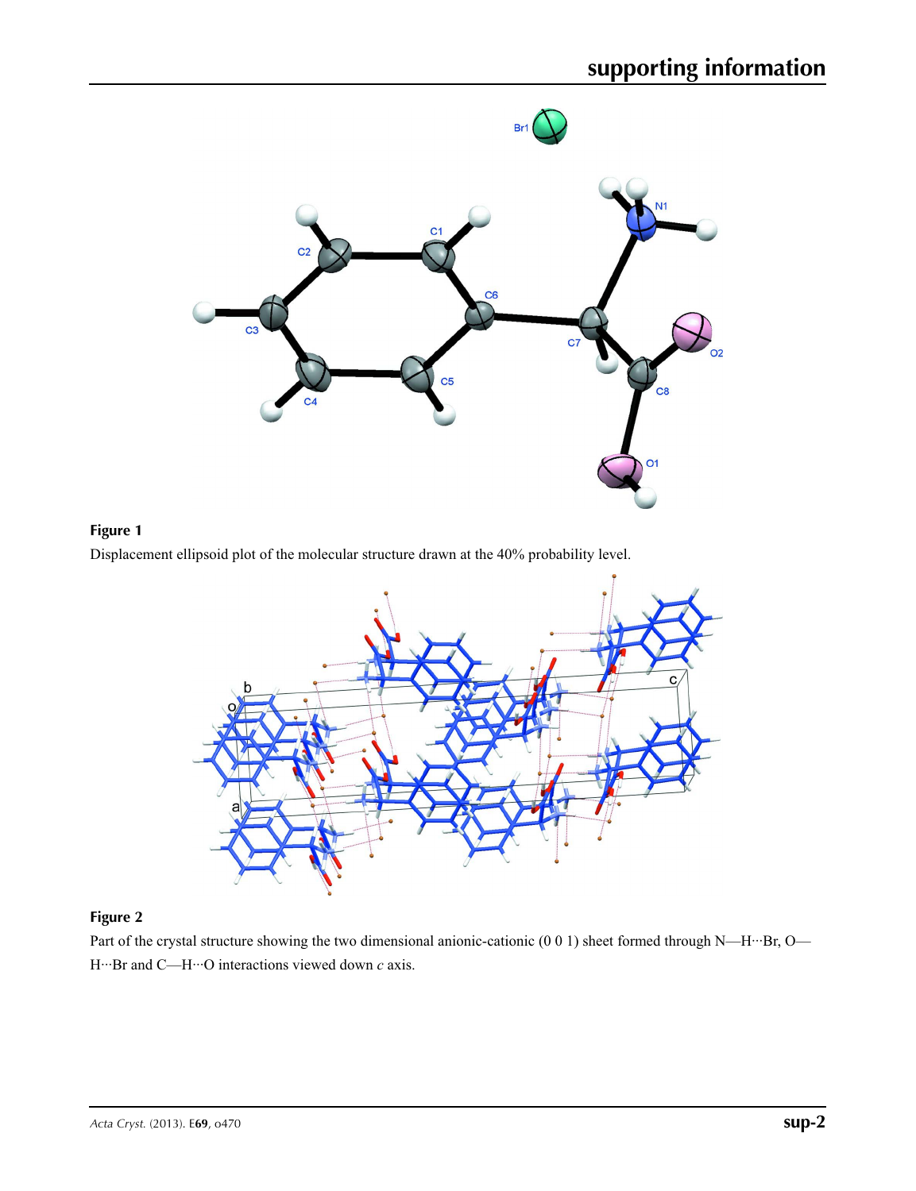





# **Figure 2**

Part of the crystal structure showing the two dimensional anionic-cationic (0 0 1) sheet formed through N—H···Br, O— H···Br and C—H···O interactions viewed down *c* axis.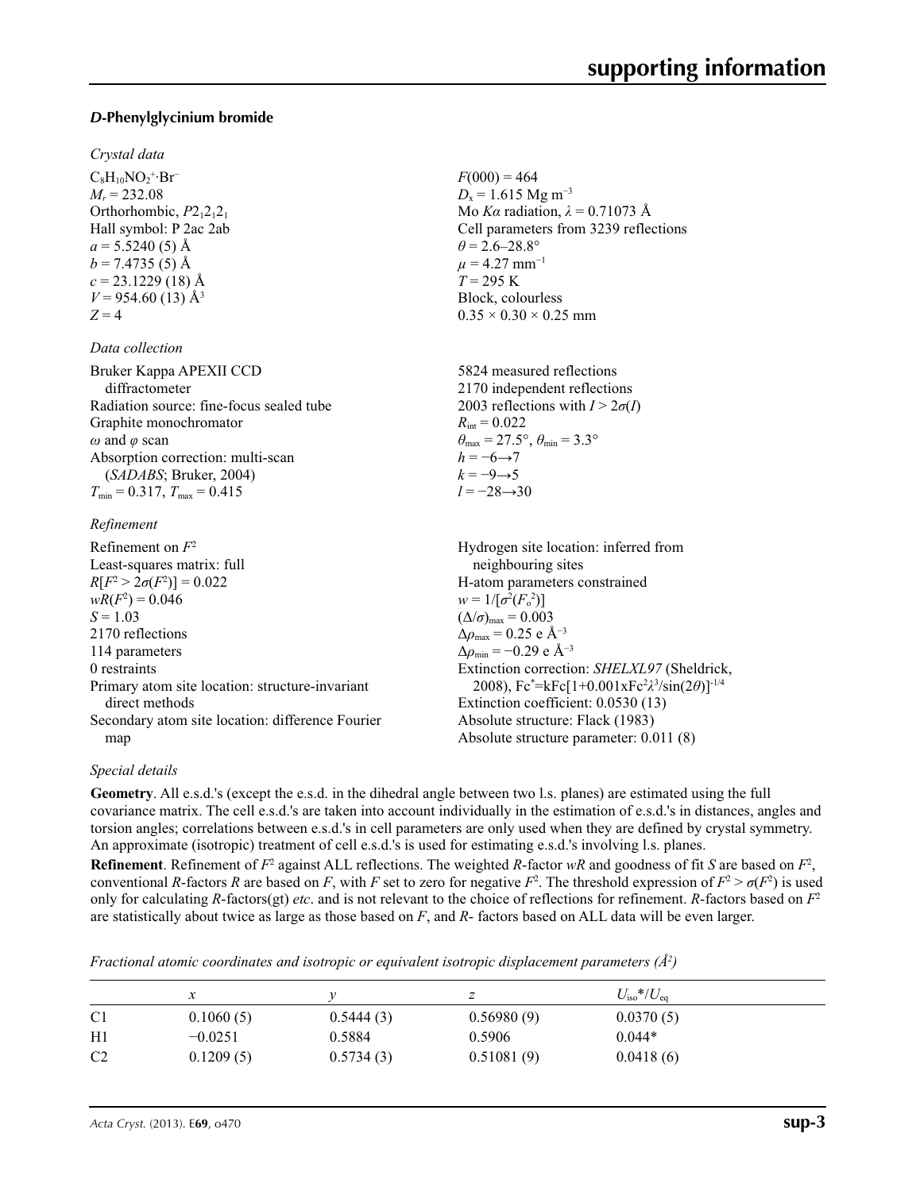# *D***-Phenylglycinium bromide**

#### *Crystal data*

 $C_8H_{10}NO_2$ <sup>+</sup>·Br<sup>−</sup>  $M_r = 232.08$ Orthorhombic,  $P2_12_12_1$ Hall symbol: P 2ac 2ab  $a = 5.5240(5)$  Å  $b = 7.4735(5)$  Å  $c = 23.1229(18)$  Å  $V = 954.60(13)$  Å<sup>3</sup>  $Z = 4$ 

#### *Data collection*

Bruker Kappa APEXII CCD diffractometer Radiation source: fine-focus sealed tube Graphite monochromator *ω* and *φ* scan Absorption correction: multi-scan (*SADABS*; Bruker, 2004)  $T_{\text{min}} = 0.317$ ,  $T_{\text{max}} = 0.415$ 

#### *Refinement*

| Refinement on $F^2$                              | Hydrogen site location: inferred from                          |
|--------------------------------------------------|----------------------------------------------------------------|
| Least-squares matrix: full                       | neighbouring sites                                             |
| $R[F^2 > 2\sigma(F^2)] = 0.022$                  | H-atom parameters constrained                                  |
| $wR(F^2) = 0.046$                                | $w = 1/[\sigma^2(F_0^2)]$                                      |
| $S = 1.03$                                       | $(\Delta/\sigma)_{\text{max}} = 0.003$                         |
| 2170 reflections                                 | $\Delta\rho_{\rm max} = 0.25$ e Å <sup>-3</sup>                |
| 114 parameters                                   | $\Delta\rho_{\rm min} = -0.29$ e Å <sup>-3</sup>               |
| 0 restraints                                     | Extinction correction: SHELXL97 (Sheldrick,                    |
| Primary atom site location: structure-invariant  | 2008), $Fc^* = kFc[1+0.001xFc^2\lambda^3/sin(2\theta)]^{-1/4}$ |
| direct methods                                   | Extinction coefficient: 0.0530 (13)                            |
| Secondary atom site location: difference Fourier | Absolute structure: Flack (1983)                               |
| map                                              | Absolute structure parameter: 0.011 (8)                        |

## *Special details*

**Geometry**. All e.s.d.'s (except the e.s.d. in the dihedral angle between two l.s. planes) are estimated using the full covariance matrix. The cell e.s.d.'s are taken into account individually in the estimation of e.s.d.'s in distances, angles and torsion angles; correlations between e.s.d.'s in cell parameters are only used when they are defined by crystal symmetry. An approximate (isotropic) treatment of cell e.s.d.'s is used for estimating e.s.d.'s involving l.s. planes.

 $F(000) = 464$  $D_x = 1.615$  Mg m<sup>-3</sup>

 $\theta$  = 2.6–28.8°  $\mu$  = 4.27 mm<sup>-1</sup>  $T = 295$  K Block, colourless  $0.35 \times 0.30 \times 0.25$  mm

 $R_{\text{int}} = 0.022$ 

 $h = -6 \rightarrow 7$  $k = -9 \rightarrow 5$ *l* = −28→30

Mo *Kα* radiation, *λ* = 0.71073 Å Cell parameters from 3239 reflections

5824 measured reflections 2170 independent reflections 2003 reflections with  $I > 2\sigma(I)$ 

 $\theta_{\text{max}} = 27.5^{\circ}, \theta_{\text{min}} = 3.3^{\circ}$ 

**Refinement**. Refinement of  $F^2$  against ALL reflections. The weighted *R*-factor  $wR$  and goodness of fit *S* are based on  $F^2$ , conventional *R*-factors *R* are based on *F*, with *F* set to zero for negative  $F^2$ . The threshold expression of  $F^2 > \sigma(F^2)$  is used only for calculating *R*-factors(gt) *etc*. and is not relevant to the choice of reflections for refinement. *R*-factors based on *F*<sup>2</sup> are statistically about twice as large as those based on *F*, and *R*- factors based on ALL data will be even larger.

*Fractional atomic coordinates and isotropic or equivalent isotropic displacement parameters (Å<sup>2</sup>)* 

|                | х         |           | z          | $U_{\rm iso}*/U_{\rm eq}$ |  |
|----------------|-----------|-----------|------------|---------------------------|--|
| C <sub>1</sub> | 0.1060(5) | 0.5444(3) | 0.56980(9) | 0.0370(5)                 |  |
| H1             | $-0.0251$ | 0.5884    | 0.5906     | $0.044*$                  |  |
| C <sub>2</sub> | 0.1209(5) | 0.5734(3) | 0.51081(9) | 0.0418(6)                 |  |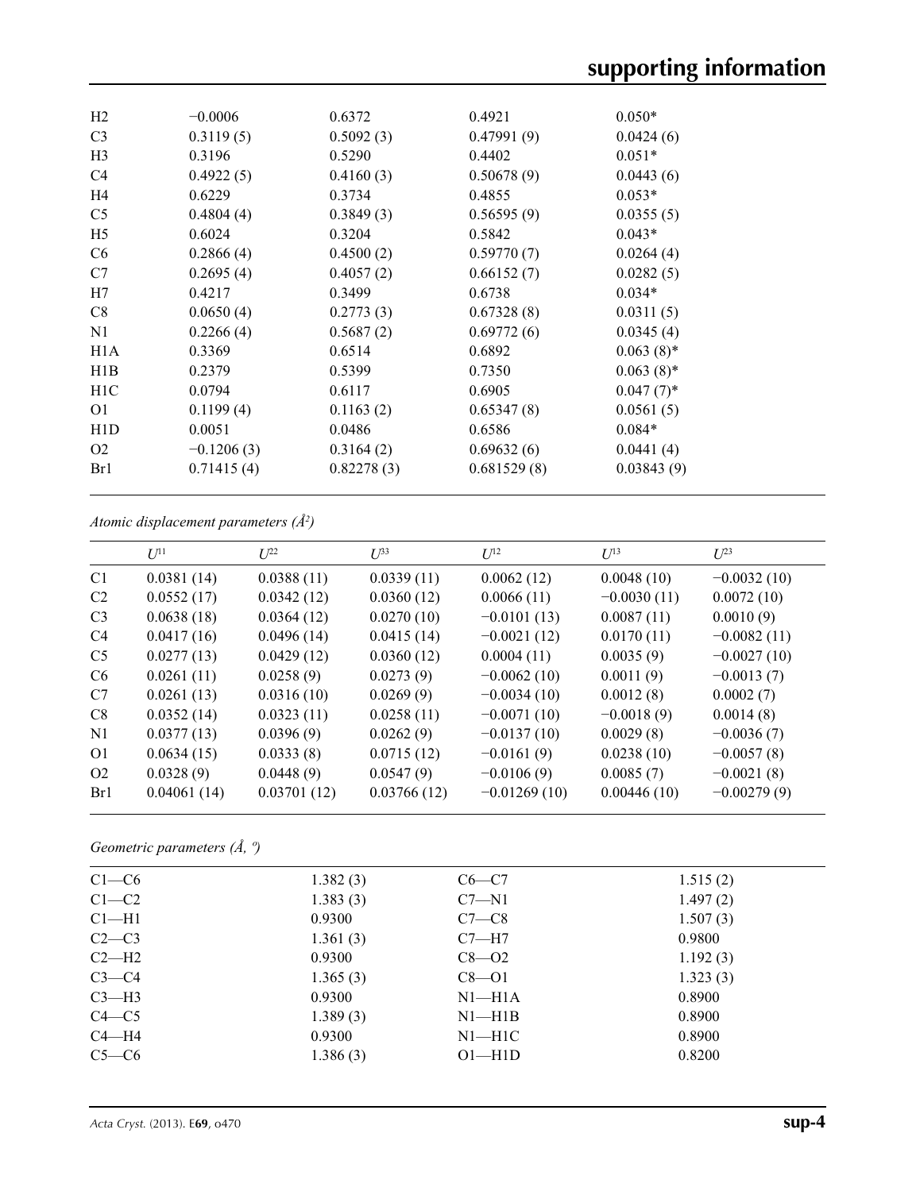| $-0.0006$<br>0.3119(5)<br>0.3196 | 0.6372<br>0.5092(3) | 0.4921<br>0.47991(9) | $0.050*$<br>0.0424(6) |
|----------------------------------|---------------------|----------------------|-----------------------|
|                                  |                     |                      |                       |
|                                  |                     |                      |                       |
|                                  |                     | 0.4402               | $0.051*$              |
|                                  | 0.4160(3)           | 0.50678(9)           | 0.0443(6)             |
| 0.6229                           | 0.3734              | 0.4855               | $0.053*$              |
| 0.4804(4)                        | 0.3849(3)           | 0.56595(9)           | 0.0355(5)             |
| 0.6024                           | 0.3204              | 0.5842               | $0.043*$              |
| 0.2866(4)                        | 0.4500(2)           | 0.59770(7)           | 0.0264(4)             |
| 0.2695(4)                        | 0.4057(2)           | 0.66152(7)           | 0.0282(5)             |
| 0.4217                           | 0.3499              | 0.6738               | $0.034*$              |
| 0.0650(4)                        | 0.2773(3)           | 0.67328(8)           | 0.0311(5)             |
| 0.2266(4)                        | 0.5687(2)           | 0.69772(6)           | 0.0345(4)             |
| 0.3369                           | 0.6514              | 0.6892               | $0.063(8)$ *          |
| 0.2379                           | 0.5399              | 0.7350               | $0.063(8)$ *          |
| 0.0794                           | 0.6117              | 0.6905               | $0.047(7)$ *          |
| 0.1199(4)                        | 0.1163(2)           | 0.65347(8)           | 0.0561(5)             |
| 0.0051                           | 0.0486              | 0.6586               | $0.084*$              |
| $-0.1206(3)$                     | 0.3164(2)           | 0.69632(6)           | 0.0441(4)             |
| 0.71415(4)                       | 0.82278(3)          | 0.681529(8)          | 0.03843(9)            |
|                                  | 0.4922(5)           | 0.5290               |                       |

*Atomic displacement parameters (Å2 )*

|                | $U^{11}$    | $U^{22}$    | $U^{33}$    | $U^{12}$       | $U^{13}$      | $U^{23}$      |
|----------------|-------------|-------------|-------------|----------------|---------------|---------------|
| C <sub>1</sub> | 0.0381(14)  | 0.0388(11)  | 0.0339(11)  | 0.0062(12)     | 0.0048(10)    | $-0.0032(10)$ |
| C <sub>2</sub> | 0.0552(17)  | 0.0342(12)  | 0.0360(12)  | 0.0066(11)     | $-0.0030(11)$ | 0.0072(10)    |
| C <sub>3</sub> | 0.0638(18)  | 0.0364(12)  | 0.0270(10)  | $-0.0101(13)$  | 0.0087(11)    | 0.0010(9)     |
| C <sub>4</sub> | 0.0417(16)  | 0.0496(14)  | 0.0415(14)  | $-0.0021(12)$  | 0.0170(11)    | $-0.0082(11)$ |
| C <sub>5</sub> | 0.0277(13)  | 0.0429(12)  | 0.0360(12)  | 0.0004(11)     | 0.0035(9)     | $-0.0027(10)$ |
| C <sub>6</sub> | 0.0261(11)  | 0.0258(9)   | 0.0273(9)   | $-0.0062(10)$  | 0.0011(9)     | $-0.0013(7)$  |
| C7             | 0.0261(13)  | 0.0316(10)  | 0.0269(9)   | $-0.0034(10)$  | 0.0012(8)     | 0.0002(7)     |
| C8             | 0.0352(14)  | 0.0323(11)  | 0.0258(11)  | $-0.0071(10)$  | $-0.0018(9)$  | 0.0014(8)     |
| N <sub>1</sub> | 0.0377(13)  | 0.0396(9)   | 0.0262(9)   | $-0.0137(10)$  | 0.0029(8)     | $-0.0036(7)$  |
| O <sub>1</sub> | 0.0634(15)  | 0.0333(8)   | 0.0715(12)  | $-0.0161(9)$   | 0.0238(10)    | $-0.0057(8)$  |
| O <sub>2</sub> | 0.0328(9)   | 0.0448(9)   | 0.0547(9)   | $-0.0106(9)$   | 0.0085(7)     | $-0.0021(8)$  |
| Br1            | 0.04061(14) | 0.03701(12) | 0.03766(12) | $-0.01269(10)$ | 0.00446(10)   | $-0.00279(9)$ |
|                |             |             |             |                |               |               |

*Geometric parameters (Å, º)*

| $C1-C6$   | 1.382(3) | $C6-C7$    | 1.515(2) |  |
|-----------|----------|------------|----------|--|
| $C1-C2$   | 1.383(3) | $C7 - N1$  | 1.497(2) |  |
| $Cl-H1$   | 0.9300   | $C7-C8$    | 1.507(3) |  |
| $C2-C3$   | 1.361(3) | $C7 - H7$  | 0.9800   |  |
| $C2-H2$   | 0.9300   | $C8 - O2$  | 1.192(3) |  |
| $C3-C4$   | 1.365(3) | $C8 - O1$  | 1.323(3) |  |
| $C3-H3$   | 0.9300   | $N1 - H1A$ | 0.8900   |  |
| $C4 - C5$ | 1.389(3) | $N1 - H1B$ | 0.8900   |  |
| $C4 - H4$ | 0.9300   | $N1 - H1C$ | 0.8900   |  |
| $C5-C6$   | 1.386(3) | $O1 - H1D$ | 0.8200   |  |
|           |          |            |          |  |